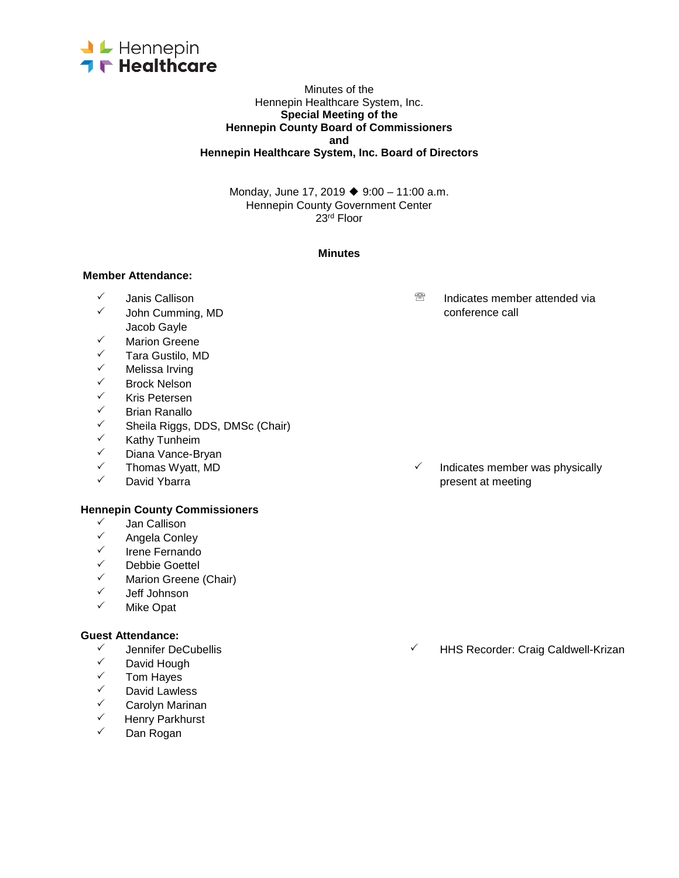

#### Minutes of the Hennepin Healthcare System, Inc. **Special Meeting of the Hennepin County Board of Commissioners and Hennepin Healthcare System, Inc. Board of Directors**

Monday, June 17, 2019 ◆ 9:00 – 11:00 a.m. Hennepin County Government Center 23rd Floor

#### **Minutes**

#### **Member Attendance:**

- 
- John Cumming, MD Jacob Gayle
- $\checkmark$  Marion Greene
- <del>V</del> Tara Gustilo, MD<br>V Melissa Irving
- ✓ Melissa Irving<br>✓ Rrock Nelson
- V Brock Nelson<br>V Kris Petersen
- ✓ Kris Petersen<br>✓ Rrian Ranallo
- ✓ Brian Ranallo<br>✓ Sheila Riggs
- ✓ Sheila Riggs, DDS, DMSc (Chair)<br>✓ Kathy Tunheim
- ✓ Kathy Tunheim<br>✓ Diana Vance-Br
- V Diana Vance-Bryan<br>V Thomas Wyatt MD
- 
- 

#### **Hennepin County Commissioners**

- V Jan Callison<br>V Angela Conle
- <del>V</del> Angela Conley<br>V Irene Fernando
- Irene Fernando
- <del>V</del> Debbie Goettel<br>V Marien Greene
- $\checkmark$  Marion Greene (Chair)<br> $\checkmark$  Leff Johnson
- ✓ Jeff Johnson<br>✓ Mike Onat
- Mike Opat

#### **Guest Attendance:**

- 
- ✓ David Hough<br>✓ Tom Haves
- **✓ Tom Hayes**<br>✓ David Lawle
- David Lawless
- <del>V</del> Carolyn Marinan<br>V Henry Parkburst
- $\checkmark$  Henry Parkhurst
- Dan Rogan

 $\sqrt{ }$  Janis Callison  $\sqrt{ }$  Janis Callison  $\sqrt{ }$  John Cumming MD

Thomas Wyatt, MD **Indicates member was physically Indicates member was physically**  $\checkmark$  David Ybarra present at meeting

<del>V</del> Jennifer DeCubellis 
→ Jennifer DeCubellis 
→ HHS Recorder: Craig Caldwell-Krizan<br>

→ David Hough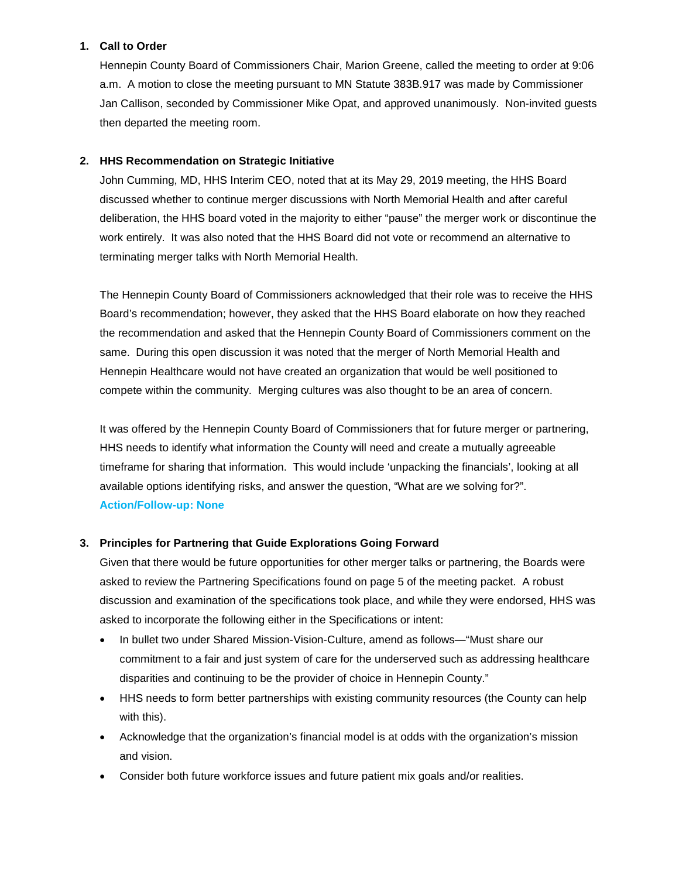# **1. Call to Order**

Hennepin County Board of Commissioners Chair, Marion Greene, called the meeting to order at 9:06 a.m. A motion to close the meeting pursuant to MN Statute 383B.917 was made by Commissioner Jan Callison, seconded by Commissioner Mike Opat, and approved unanimously. Non-invited guests then departed the meeting room.

# **2. HHS Recommendation on Strategic Initiative**

John Cumming, MD, HHS Interim CEO, noted that at its May 29, 2019 meeting, the HHS Board discussed whether to continue merger discussions with North Memorial Health and after careful deliberation, the HHS board voted in the majority to either "pause" the merger work or discontinue the work entirely. It was also noted that the HHS Board did not vote or recommend an alternative to terminating merger talks with North Memorial Health.

The Hennepin County Board of Commissioners acknowledged that their role was to receive the HHS Board's recommendation; however, they asked that the HHS Board elaborate on how they reached the recommendation and asked that the Hennepin County Board of Commissioners comment on the same. During this open discussion it was noted that the merger of North Memorial Health and Hennepin Healthcare would not have created an organization that would be well positioned to compete within the community. Merging cultures was also thought to be an area of concern.

It was offered by the Hennepin County Board of Commissioners that for future merger or partnering, HHS needs to identify what information the County will need and create a mutually agreeable timeframe for sharing that information. This would include 'unpacking the financials', looking at all available options identifying risks, and answer the question, "What are we solving for?". **Action/Follow-up: None**

# **3. Principles for Partnering that Guide Explorations Going Forward**

Given that there would be future opportunities for other merger talks or partnering, the Boards were asked to review the Partnering Specifications found on page 5 of the meeting packet. A robust discussion and examination of the specifications took place, and while they were endorsed, HHS was asked to incorporate the following either in the Specifications or intent:

- In bullet two under Shared Mission-Vision-Culture, amend as follows—"Must share our commitment to a fair and just system of care for the underserved such as addressing healthcare disparities and continuing to be the provider of choice in Hennepin County."
- HHS needs to form better partnerships with existing community resources (the County can help with this).
- Acknowledge that the organization's financial model is at odds with the organization's mission and vision.
- Consider both future workforce issues and future patient mix goals and/or realities.